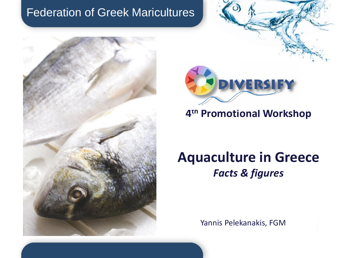



## **4 th Promotional Workshop**

# **Aquaculture in Greece** *Facts & figures*

Yannis Pelekanakis, FGM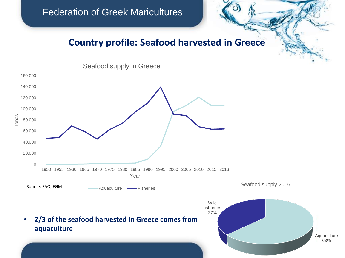#### **Country profile: Seafood harvested in Greece**



Seafood supply in Greece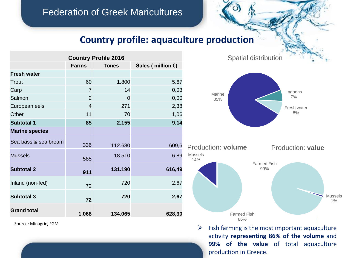### **Country profile: aquaculture production**

| <b>Country Profile 2016</b> |                |              |                             |
|-----------------------------|----------------|--------------|-----------------------------|
|                             | <b>Farms</b>   | <b>Tones</b> | Sales (million $\epsilon$ ) |
| <b>Fresh water</b>          |                |              |                             |
| Trout                       | 60             | 1.800        | 5,67                        |
| Carp                        | $\overline{7}$ | 14           | 0,03                        |
| Salmon                      | $\overline{2}$ | 0            | 0,00                        |
| European eels               | $\overline{4}$ | 271          | 2,38                        |
| Other                       | 11             | 70           | 1,06                        |
| <b>Subtotal 1</b>           | 85             | 2.155        | 9.14                        |
| <b>Marine species</b>       |                |              |                             |
| Sea bass & sea bream        | 336            | 112.680      | 609,6                       |
| <b>Mussels</b>              | 585            | 18.510       | 6.89                        |
| <b>Subtotal 2</b>           | 911            | 131.190      | 616,49                      |
| Inland (non-fed)            | 72             | 720          | 2,67                        |
| <b>Subtotal 3</b>           | 72             | 720          | 2,67                        |
| <b>Grand total</b>          | 1.068          | 134.065      | 628,30                      |

Source: Minagric, FGM

Spatial distribution





 $\triangleright$  Fish farming is the most important aquaculture activity **representing 86% of the volume** and **99% of the value** of total aquaculture production in Greece.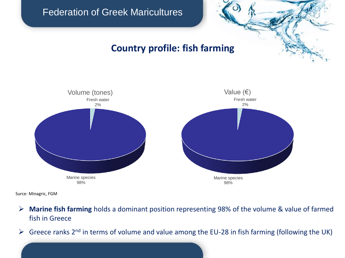### **Country profile: fish farming**



Surce: Minagric, FGM

- ➢ **Marine fish farming** holds a dominant position representing 98% of the volume & value of farmed fish in Greece
- $\triangleright$  Greece ranks 2<sup>nd</sup> in terms of volume and value among the EU-28 in fish farming (following the UK)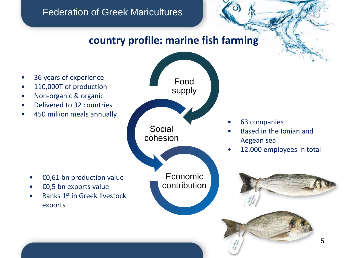## **country profile: marine fish farming**

- 36 years of experience
- 110,000T of production
- Non-organic & organic
- Delivered to 32 countries
- 450 million meals annually
- Food supply Social cohesion Economic contribution
- 63 companies
- Based in the Ionian and Aegean sea
- 12.000 employees in total
- €0,61 bn production value
- €0,5 bn exports value
- Ranks 1st in Greek livestock exports

5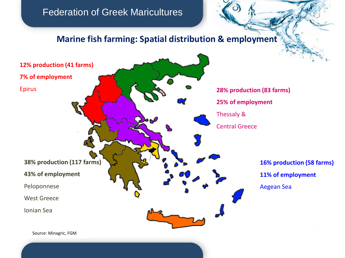#### **Marine fish farming: Spatial distribution & employment**

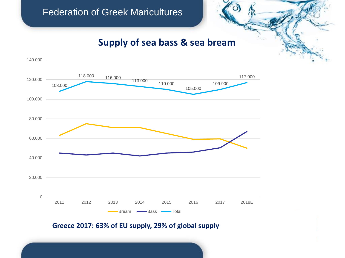#### **Supply of sea bass & sea bream**



**Greece 2017: 63% of EU supply, 29% of global supply**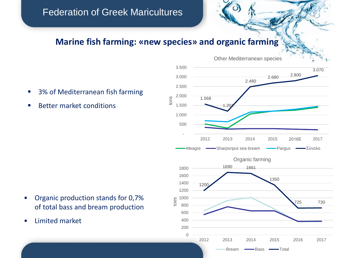#### **Marine fish farming: «new species» and organic farming**

- 3% of Mediterranean fish farming
- Better market conditions



- Organic production stands for 0,7% of total bass and bream production
- Limited market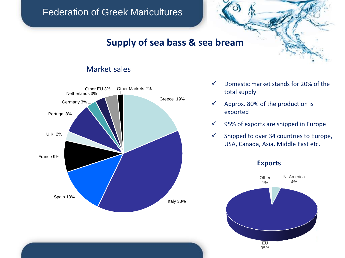#### **Supply of sea bass & sea bream**

#### Market sales



- $\checkmark$  Domestic market stands for 20% of the total supply
- $\checkmark$  Approx. 80% of the production is exported
- $\checkmark$  95% of exports are shipped in Europe
- $\checkmark$  Shipped to over 34 countries to Europe, USA, Canada, Asia, Middle East etc.

#### **Exports**

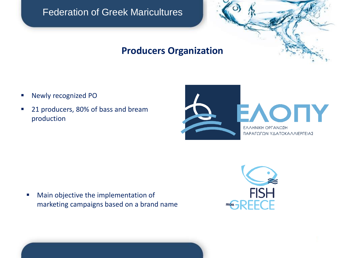

### **Producers Organization**

- Newly recognized PO
- 21 producers, 80% of bass and bream production



■ Main objective the implementation of marketing campaigns based on a brand name